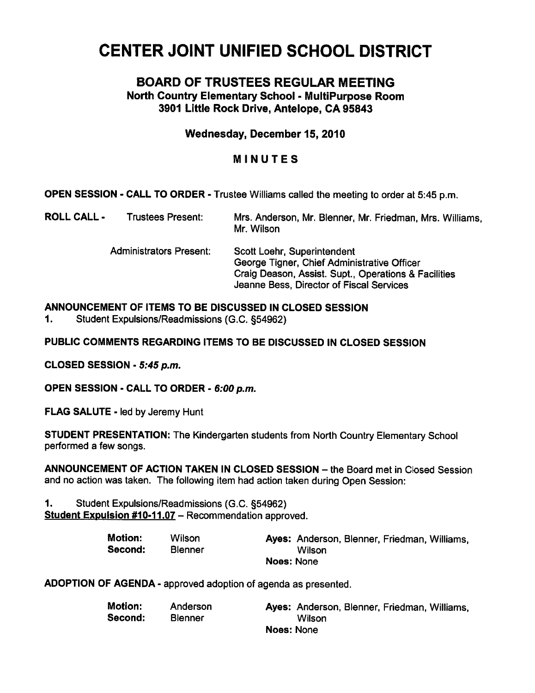# CENTER JOINT UNIFIED SCHOOL DISTRICT

# BOARD OF TRUSTEES REGULAR MEETING North Country Elementary School - MultiPurpose Room 3901 Little Rock Drive, Antelope, CA 95843

## Wednesday, December 15, 2010

# MINUTES

OPEN SESSION - CALL TO ORDER - Trustee Williams called the meeting to order at 5:45 p.m.

| <b>ROLL CALL -</b> | <b>Trustees Present:</b>       | Mrs. Anderson, Mr. Blenner, Mr. Friedman, Mrs. Williams,<br>Mr. Wilson                                                                                                         |
|--------------------|--------------------------------|--------------------------------------------------------------------------------------------------------------------------------------------------------------------------------|
|                    | <b>Administrators Present:</b> | Scott Loehr, Superintendent<br>George Tigner, Chief Administrative Officer<br>Craig Deason, Assist. Supt., Operations & Facilities<br>Jeanne Bess, Director of Fiscal Services |

## ANNOUNCEMENT OF ITEMS TO BE DISCUSSED IN CLOSED SESSION

1. Student Expulsions/Readmissions (G.C. §54962)

PUBLIC COMMENTS REGARDING ITEMS TO BE DISCUSSED IN CLOSED SESSION

CLOSED SESSION - 5:45 p.m.

OPEN SESSION - CALL TO ORDER - 6:00 p.m.

FLAG SALUTE - led by Jeremy Hunt

STUDENT PRESENTATION: The Kindergarten students from North Country Elementary School performed a few songs.

ANNOUNCEMENT OF ACTION TAKEN IN CLOSED SESSION - the Board met in Closed Session and no action was taken. The following item had action taken during Open Session:

1. Student Expulsions/Readmissions (G.C. §54962)

Student Expulsion #10-11.07 - Recommendation approved.

| <b>Motion:</b> | <b>Wilson</b>  | Ayes: Anderson, Blenner, Friedman, Williams. |
|----------------|----------------|----------------------------------------------|
| Second:        | <b>Blenner</b> | Wilson                                       |
|                |                | Noes: None                                   |

ADOPTION OF AGENDA - approved adoption of agenda as presented.

| <b>Motion:</b> | Anderson       | Ayes: Anderson, Blenner, Friedman, Williams, |  |  |  |
|----------------|----------------|----------------------------------------------|--|--|--|
| Second:        | <b>Blenner</b> | Wilson                                       |  |  |  |
| Noes: None     |                |                                              |  |  |  |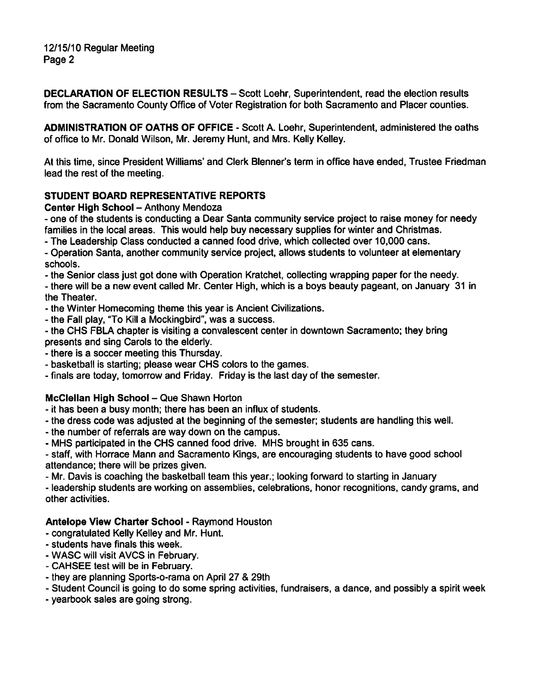12/15/10 Regular Meeting Page 2

DECLARATION OF ELECTION RESULTS - Scott Loehr, Superintendent, read the election results from the Sacramento County Office of Voter Registration for both Sacramento and Placer counties.

ADMINISTRATION OF OATHS OF OFFICE - Scott A. Loehr, Superintendent, administered the oaths of office to Mr. Donald Wilson, Mr. Jeremy Hunt, and Mrs. Kelly Kelley.

At this time, since President Williams' and Clerk Blenner's term in office have ended, Trustee Friedman lead the rest of the meeting.

## STUDENT BOARD REPRESENTATIVE REPORTS

#### Center High School - Anthony Mendoza

one of the students is conducting a Dear Santa community service project to raise money for needy families in the local areas. This would help buy necessary supplies for winter and Christmas.

The Leadership Class conducted a canned food drive, which collected over 10,000 cans.

Operation Santa, another community service project, allows students to volunteer at elementary schools.

the Senior class just got done with Operation Kratchet, collecting wrapping paper for the needy.

there will be a new event called Mr. Center High, which is a boys beauty pageant, on January 31 in the Theater.

the Winter Homecoming theme this year is Ancient Civilizations.

the Fall play, "To Kill a Mockingbird", was a success.

the CHS FBLA chapter is visiting a convalescent center in downtown Sacramento; they bring presents and sing Carols to the elderly.

- there is a soccer meeting this Thursday.

basketball is starting; please wear CHS colors to the games.

finals are today, tomorrow and Friday. Friday is the last day of the semester.

#### McClellan High School - Que Shawn Horton

it has been a busy month; there has been an influx of students.

the dress code was adjusted at the beginning of the semester; students are handling this well.

the number of referrals are way down on the campus.

MHS participated in the CHS canned food drive. MHS brought in 635 cans.

staff, with Horrace Mann and Sacramento Kings, are encouraging students to have good school attendance; there will be prizes given.

Mr. Davis is coaching the basketball team this year.; looking forward to starting in January

leadership students are working on assemblies, celebrations, honor recognitions, candy grams, and other activities.

## Antelope View Charter School - Raymond Houston

congratulated Kelly Kelley and Mr. Hunt.

- students have finals this week.
- WASC will visit AVCS in February.
- CAHSEE test will be in February.
- they are planning Sports-o-rama on April 27 & 29th

Student Council is going to do some spring activities, fundraisers, a dance, and possibly a spirit week

yearbook sales are going strong.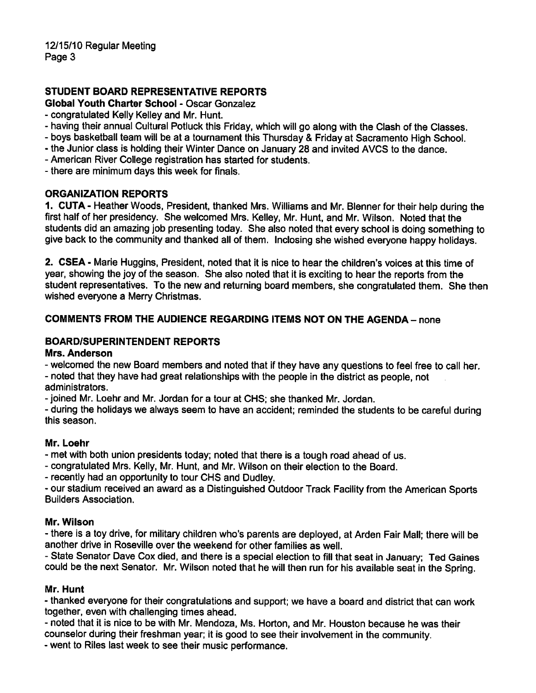## STUDENT BOARD REPRESENTATIVE REPORTS

Global Youth Charter School - Oscar Gonzalez

- congratulated Kelly Kelley and Mr. Hunt.
- having their annual Cultural Potluck this Friday, which will go along with the Clash of the Classes.
- boys basketball team will be at a tournament this Thursday & Friday at Sacramento High School.
- the Junior class is holding their Winter Dance on January 28 and invited AVCS to the dance.
- American River College registration has started for students.

- there are minimum days this week for finals.

#### ORGANIZATION REPORTS

1. CUTA - Heather Woods, President, thanked Mrs. Williams and Mr. Blenner for their help during the first half of her presidency. She welcomed Mrs. Kelley, Mr. Hunt, and Mr. Wilson. Noted that the students did an amazing job presenting today. She also noted that every school is doing something to give back to the community and thanked all of them. Inclosing she wished everyone happy holidays.

2. CSEA - Marie Huggins, President, noted that it is nice to hear the children's voices at this time of year, showing the joy of the season. She also noted that it is exciting to hear the reports from the student representatives. To the new and returning board members, she congratulated them. She then wished everyone a Merry Christmas.

## COMMENTS FROM THE AUDIENCE REGARDING ITEMS NOT ON THE AGENDA- none

## BOARD/SUPERINTENDENT REPORTS

#### Mrs. Anderson

welcomed the new Board members and noted that if they have any questions to feel free to call her. noted that they have had great relationships with the people in the district as people, not

administrators.

joined Mr. Loehr and Mr. Jordan for a tour at CHS; she thanked Mr. Jordan.

during the holidays we always seem to have an accident; reminded the students to be careful during this season.

#### Mr. Loehr

met with both union presidents today; noted that there is a tough road ahead of us.

congratulated Mrs. Kelly, Mr. Hunt, and Mr. Wilson on their election to the Board.

recently had an opportunity to tour CHS and Dudley.

our stadium received an award as a Distinguished Outdoor Track Facility from the American Sports Builders Association.

#### Mr. Wilson

- there is a toy drive, for military children who's parents are deployed, at Arden Fair Mall; there will be another drive in Roseville over the weekend for other families as well.

State Senator Dave Cox died, and there is a special election to fill that seat in January; Ted Gaines could be the next Senator. Mr. Wilson noted that he will then run for his available seat in the Spring.

#### Mr. Hunt

thanked everyone for their congratulations and support; we have a board and district that can work together, even with challenging times ahead.

noted that it is nice to be with Mr. Mendoza, Ms. Horton, and Mr. Houston because he was their counselor during their freshman year; it is good to see their involvement in the community.

went to Riles last week to see their music performance.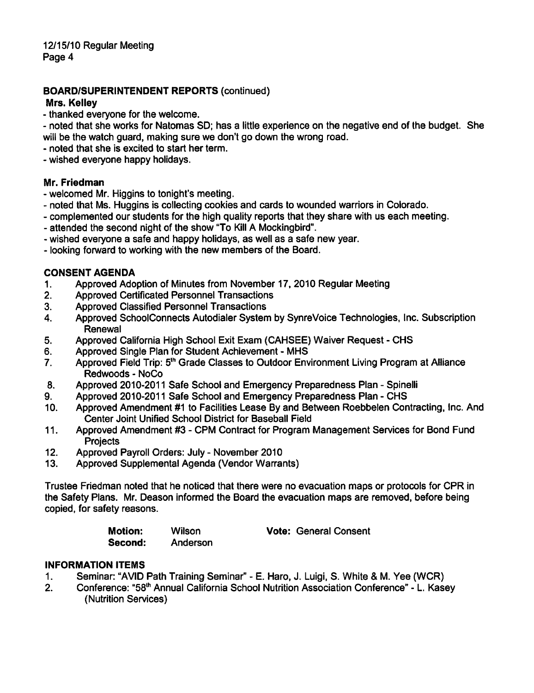## BOARD/SUPERINTENDENT REPORTS (continued)

#### Mrs. Kelley

- thanked everyone for the welcome.
- noted that she works for Natomas SD; has a little experience on the negative end of the budget. She will be the watch guard, making sure we don't go down the wrong road.
- noted that she is excited to start her term.
- wished everyone happy holidays.

#### Mr. Friedman

- welcomed Mr. Higgins to tonight's meeting.
- noted that Ms. Huggins is collecting cookies and cards to wounded warriors in Colorado.
- complemented our students for the high quality reports that they share with us each meeting.
- attended the second night of the show "To Kill A Mockingbird".
- wished everyone a safe and happy holidays, as well as a safe new year.
- looking forward to working with the new members of the Board.

#### CONSENT AGENDA

- 1. Approved Adoption of Minutes from November 17, 2010 Regular Meeting
- 2. Approved Certificated Personnel Transactions
- 3. Approved Classified Personnel Transactions
- 4. Approved SchoolConnects Autodialer System by SynreVoice Technologies, Inc. Subscription Renewal
- 5. Approved California High School Exit Exam (CAHSEE) Waiver Request CHS
- 6. Approved Single Plan for Student Achievement MHS
- 7. Approved Field Trip: 5<sup>th</sup> Grade Classes to Outdoor Environment Living Program at Alliance Redwoods - NoCo
- 8. Approved 2010-2011 Safe School and Emergency Preparedness Plan Spinelli
- 9. Approved 2010-2011 Safe School and Emergency Preparedness Plan CHS
- 10. Approved Amendment #1 to Facilities Lease By and Between Roebbelen Contracting, Inc. And Center Joint Unified School District for Baseball Field
- 11. Approved Amendment #3 CPM Contract for Program Management Services for Bond Fund **Projects**
- 12. Approved Payroll Orders: July November 2010
- 13. Approved Supplemental Agenda (Vendor Warrants)

Trustee Friedman noted that he noticed that there were no evacuation maps or protocols for CPR in the Safety Plans. Mr. Deason informed the Board the evacuation maps are removed, before being copied, for safety reasons.

Second: Anderson

Motion: Wilson Vote: General Consent

## INFORMATION ITEMS

- 1. Seminar: "AVID Path Training Seminar" E. Haro, J. Luigi, S. White & M. Yee (WCR)
- 2. Conference: "58<sup>th</sup> Annual California School Nutrition Association Conference" L. Kasey (Nutrition Services)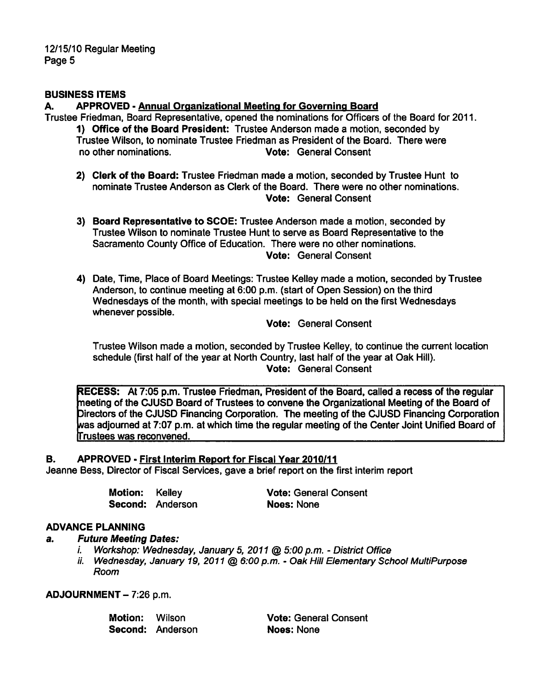12/15/10 Regular Meeting Page 5

#### BUSINESS ITEMS

#### A. APPROVED - Annual Organizational Meeting for Governing Board

- Trustee Friedman, Board Representative, opened the nominations for Officers of the Board for 2011. 1) Office of the Board President: Trustee Anderson made a motion, seconded by Trustee Wilson, to nominate Trustee Friedman as President of the Board. There were no other nominations. Vote: General Consent
	- 2) Clerk of the Board: Trustee Friedman made a motion, seconded by Trustee Hunt to nominate Trustee Anderson as Clerk of the Board. There were no other nominations. Vote: General Consent
	- 3) Board Representative to SCOE: Trustee Anderson made a motion, seconded by Trustee Wilson to nominate Trustee Hunt to serve as Board Representative to the Sacramento County Office of Education. There were no other nominations. Vote: General Consent
	- 4) Date, Time, Place of Board Meetings: Trustee Kelley made a motion, seconded by Trustee Anderson, to continue meeting at 6:00 p.m. (start of Open Session) on the third Wednesdays of the month, with special meetings to be held on the first Wednesdays whenever possible.

Vote: General Consent

Trustee Wilson made a motion, seconded by Trustee Kelley, to continue the current location schedule (first half of the year at North Country, last half of the year at Oak Hill). Vote: General Consent

RECESS: At 7:05 p.m. Trustee Friedman, President of the Board, called a recess of the regular neeting of the CJUSD Board of Trustees to convene the Organizational Meeting of the Board of Directors of the CJUSD Financing Corporation. The meeting of the CJUSD Financing Corporation was adjourned at 7:07 p.m. at which time the regular meeting of the Center Joint Unified Board of frustees was reconvened.

#### B. APPROVED - First Interim Report for Fiscal Year 2010/11

Jeanne Bess, Director of Fiscal Services, gave a brief report on the first interim report

| <b>Motion:</b> | Kelley           |
|----------------|------------------|
|                | Second: Anderson |

Vote: General Consent Noes: None

#### ADVANCE PLANNING

#### a. Future Meeting Dates:

- i. Workshop: Wednesday, January 5, 2011 @ 5:00 p.m. District Office
- ii. Wednesday, January 19, 2011 @ 6:00 p.m. Oak Hill Elementary School MultiPurpose Room

ADJOURNMENT- 7:26 p.m.

Second: Anderson Noes: None

Motion: Wilson **Vote: General Consent**